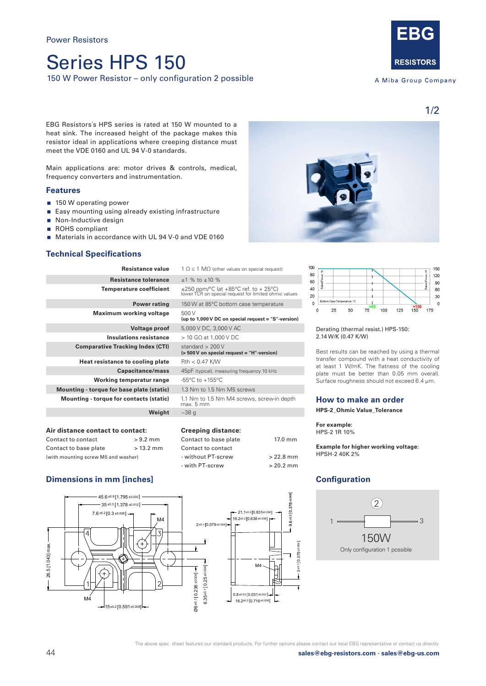# Series HPS 150

150 W Power Resistor – only configuration 2 possible



A Miba Group Company

EBG Resistors´s HPS series is rated at 150 W mounted to a heat sink. The increased height of the package makes this resistor ideal in applications where creeping distance must meet the VDE 0160 and UL 94 V-0 standards.

Main applications are: motor drives & controls, medical, frequency converters and instrumentation.

## **Features**

- 150 W operating power
- **Easy mounting using already existing infrastructure**
- Non-Inductive design
- ROHS compliant
- Materials in accordance with UL 94 V-0 and VDE 0160

## **Technical Specifications**

| <b>Resistance value</b>                   | $1 \Omega \le 1 \text{ M}\Omega$ (other values on special request)                                  |  |
|-------------------------------------------|-----------------------------------------------------------------------------------------------------|--|
| Resistance tolerance                      | $+1$ % to $+10$ %                                                                                   |  |
| <b>Temperature coefficient</b>            | $\pm 250$ ppm/°C (at +85°C ref. to + 25°C)<br>lower TCR on special request for limited ohmic values |  |
| <b>Power rating</b>                       | 150 W at 85°C bottom case temperature                                                               |  |
| Maximum working voltage                   | 500 V<br>(up to 1,000 V DC on special request = "S"-version)                                        |  |
| Voltage proof                             | 5,000 V DC, 3,000 V AC                                                                              |  |
| Insulations resistance                    | $>$ 10 G $\Omega$ at 1,000 V DC                                                                     |  |
| <b>Comparative Tracking Index (CTI)</b>   | standard $> 200V$<br>(> 500 V on special request = "H"-version)                                     |  |
| Heat resistance to cooling plate          | $Rth < 0.47$ K/W                                                                                    |  |
| Capacitance/mass                          | 45pF (typical), measuring frequency 10 kHz                                                          |  |
| Working temperatur range                  | $-55^{\circ}$ C to $+155^{\circ}$ C                                                                 |  |
| Mounting - torque for base plate (static) | 1.3 Nm to 1.5 Nm M5 screws                                                                          |  |
| Mounting - torque for contacts (static)   | 1.1 Nm to 1.5 Nm M4 screws, screw-in depth<br>max. 5 mm                                             |  |
| Weight                                    | $~238$ q                                                                                            |  |
| Air distance contact to contact:          | <b>Creeping distance:</b>                                                                           |  |

| Air distance contact to contact:    |             |  |
|-------------------------------------|-------------|--|
| Contact to contact                  | $> 9.2$ mm  |  |
| Contact to base plate               | $> 13.2$ mm |  |
| (with mounting screw M5 and washer) |             |  |

## **Dimensions in mm [inches]**





#### Derating (thermal resist.) HPS-150: 2.14 W/K (0.47 K/W)

Best results can be reached by using a thermal transfer compound with a heat conductivity of at least 1 W/mK. The flatness of the cooling plate must be better than 0.05 mm overall. Surface roughness should not exceed 6.4 μm.

## **How to make an order**

**HPS-2\_Ohmic Value\_Tolerance**

**For example:**  HPS-2 1R 10%

**Example for higher working voltage:** HPSH-2 40K 2%

## **Configuration**



1/2

Contact to base plate 17.0 mm

- without PT-screw > 22.8 mm - with PT-screw  $> 20.2$  mm

Contact to contact